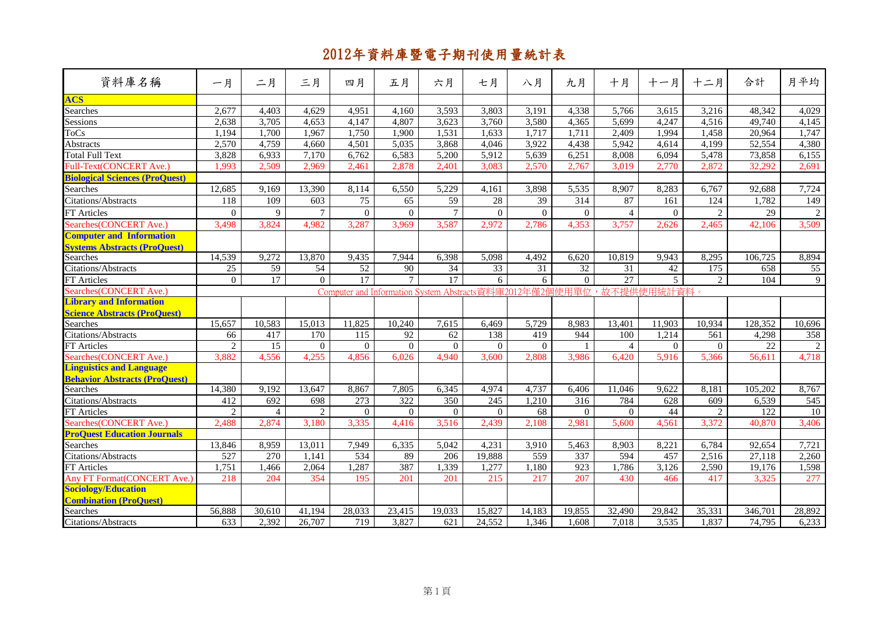| 資料庫名稱                                 | 一月             | 二月              | 三月             | 四月       | 五月       | 六月              | 七月               | 八月       | 九月               | 十月              | 十一月                                                                  | 十二月            | 合計               | 月平均              |
|---------------------------------------|----------------|-----------------|----------------|----------|----------|-----------------|------------------|----------|------------------|-----------------|----------------------------------------------------------------------|----------------|------------------|------------------|
| <b>ACS</b>                            |                |                 |                |          |          |                 |                  |          |                  |                 |                                                                      |                |                  |                  |
| <b>Searches</b>                       | 2,677          | 4,403           | 4,629          | 4,951    | 4.160    | 3,593           | 3,803            | 3,191    | 4,338            | 5,766           | 3,615                                                                | 3,216          | 48,342           | 4,029            |
| Sessions                              | 2,638          | 3,705           | 4,653          | 4,147    | 4,807    | 3,623           | 3,760            | 3,580    | 4,365            | 5,699           | 4,247                                                                | 4,516          | 49,740           | 4,145            |
| <b>ToCs</b>                           | 1,194          | 1,700           | 1,967          | 1,750    | 1,900    | 1,531           | 1,633            | 1,717    | 1,711            | 2,409           | 1,994                                                                | 1,458          | 20,964           | 1,747            |
| Abstracts                             | 2,570          | 4,759           | 4,660          | 4,501    | 5,035    | 3,868           | 4,046            | 3,922    | 4,438            | 5,942           | 4,614                                                                | 4,199          | 52,554           | 4,380            |
| <b>Total Full Text</b>                | 3,828          | 6,933           | 7,170          | 6,762    | 6,583    | 5,200           | 5,912            | 5,639    | 6,251            | 8,008           | 6,094                                                                | 5,478          | 73,858           | 6,155            |
| Full-Text(CONCERT Ave.)               | 1,993          | 2,509           | 2,969          | 2,461    | 2,878    | 2,401           | 3,083            | 2,570    | 2,767            | 3,019           | 2,770                                                                | 2,872          | 32,292           | 2,691            |
| <b>Biological Sciences (ProQuest)</b> |                |                 |                |          |          |                 |                  |          |                  |                 |                                                                      |                |                  |                  |
| Searches                              | 12,685         | 9,169           | 13,390         | 8,114    | 6,550    | 5,229           | 4,161            | 3,898    | 5,535            | 8,907           | 8,283                                                                | 6,767          | 92,688           | 7,724            |
| Citations/Abstracts                   | 118            | 109             | 603            | 75       | 65       | 59              | $28\,$           | 39       | 314              | 87              | 161                                                                  | 124            | 1,782            | 149              |
| FT Articles                           | $\Omega$       | 9               | $\overline{7}$ | $\Omega$ | $\Omega$ | $7\phantom{.0}$ | $\Omega$         | $\Omega$ | $\Omega$         | $\overline{4}$  | $\Omega$                                                             | $\overline{2}$ | 29               | $\overline{2}$   |
| Searches(CONCERT Ave.)                | 3,498          | 3,824           | 4,982          | 3,287    | 3,969    | 3,587           | 2,972            | 2,786    | 4,353            | 3,757           | 2,626                                                                | 2,465          | 42,106           | 3,509            |
| <b>Computer and Information</b>       |                |                 |                |          |          |                 |                  |          |                  |                 |                                                                      |                |                  |                  |
| <b>Systems Abstracts (ProQuest)</b>   |                |                 |                |          |          |                 |                  |          |                  |                 |                                                                      |                |                  |                  |
| <b>Searches</b>                       | 14,539         | 9,272           | 13,870         | 9,435    | 7,944    | 6,398           | 5,098            | 4,492    | 6,620            | 10,819          | 9,943                                                                | 8,295          | 106,725          | 8,894            |
| Citations/Abstracts                   | 25             | $\overline{59}$ | 54             | 52       | 90       | 34              | 33               | 31       | $\overline{32}$  | 31              | 42                                                                   | 175            | 658              | 55               |
| FT Articles                           | $\overline{0}$ | $\overline{17}$ | $\Omega$       | 17       | $\tau$   | 17              | 6                | 6        | $\Omega$         | $\overline{27}$ | 5                                                                    | $\overline{2}$ | $\overline{104}$ | 9                |
| Searches(CONCERT Ave.)                |                |                 |                |          |          |                 |                  |          |                  |                 | Computer and Information System Abstracts資料庫2012年僅2個使用單位,故不提供使用統計資料。 |                |                  |                  |
| <b>Library and Information</b>        |                |                 |                |          |          |                 |                  |          |                  |                 |                                                                      |                |                  |                  |
| <b>Science Abstracts (ProQuest)</b>   |                |                 |                |          |          |                 |                  |          |                  |                 |                                                                      |                |                  |                  |
| Searches                              | 15,657         | 10,583          | 15,013         | 11,825   | 10,240   | 7.615           | 6,469            | 5,729    | 8,983            | 13,401          | 11,903                                                               | 10,934         | 128,352          | 10,696           |
| Citations/Abstracts                   | 66             | 417             | 170            | 115      | 92       | 62              | 138              | 419      | 944              | 100             | 1,214                                                                | 561            | 4,298            | 358              |
| <b>FT</b> Articles                    | $\overline{2}$ | 15              | $\Omega$       | $\Omega$ | $\Omega$ | $\Omega$        | $\Omega$         | $\Omega$ |                  | $\overline{4}$  | $\Omega$                                                             | $\Omega$       | 22               |                  |
| Searches(CONCERT Ave.)                | 3,882          | 4,556           | 4,255          | 4,856    | 6,026    | 4,940           | 3,600            | 2,808    | 3,986            | 6,420           | 5,916                                                                | 5,366          | 56,611           | 4,718            |
| <b>Linguistics and Language</b>       |                |                 |                |          |          |                 |                  |          |                  |                 |                                                                      |                |                  |                  |
| <b>Behavior Abstracts (ProQuest)</b>  |                |                 |                |          |          |                 |                  |          |                  |                 |                                                                      |                |                  |                  |
| <b>Searches</b>                       | 14,380         | 9,192           | 13.647         | 8,867    | 7,805    | 6,345           | 4,974            | 4,737    | 6,406            | 11,046          | 9.622                                                                | 8,181          | 105.202          | 8,767            |
| Citations/Abstracts                   | 412            | 692             | 698            | 273      | 322      | 350             | $\overline{245}$ | 1,210    | $\overline{316}$ | 784             | 628                                                                  | 609            | 6,539            | $\overline{545}$ |
| FT Articles                           | $\overline{c}$ | $\overline{4}$  | $\overline{2}$ | $\Omega$ | $\Omega$ | $\mathbf{0}$    | $\Omega$         | 68       | $\Omega$         | $\overline{0}$  | 44                                                                   | 2              | 122              | 10               |
| Searches(CONCERT Ave.)                | 2,488          | 2,874           | 3,180          | 3,335    | 4,416    | 3,516           | 2,439            | 2,108    | 2,981            | 5,600           | 4,561                                                                | 3,372          | 40,870           | 3,406            |
| <b>ProQuest Education Journals</b>    |                |                 |                |          |          |                 |                  |          |                  |                 |                                                                      |                |                  |                  |
| Searches                              | 13,846         | 8,959           | 13,011         | 7,949    | 6,335    | 5,042           | 4,231            | 3,910    | 5,463            | 8,903           | 8,221                                                                | 6,784          | 92,654           | 7,721            |
| Citations/Abstracts                   | 527            | 270             | 1.141          | 534      | 89       | 206             | 19,888           | 559      | 337              | 594             | 457                                                                  | 2,516          | 27.118           | 2,260            |
| <b>FT</b> Articles                    | ,751           | 1,466           | 2,064          | 1,287    | 387      | 1,339           | 1,277            | 1,180    | 923              | 1,786           | 3,126                                                                | 2,590          | 19,176           | 1,598            |
| Any FT Format(CONCERT Ave.)           | 218            | 204             | 354            | 195      | 201      | 201             | 215              | 217      | 207              | 430             | 466                                                                  | 417            | 3.325            | 277              |
| <b>Sociology/Education</b>            |                |                 |                |          |          |                 |                  |          |                  |                 |                                                                      |                |                  |                  |
| <b>Combination (ProQuest)</b>         |                |                 |                |          |          |                 |                  |          |                  |                 |                                                                      |                |                  |                  |
| Searches                              | 56,888         | 30,610          | 41,194         | 28,033   | 23,415   | 19,033          | 15,827           | 14,183   | 19,855           | 32,490          | 29,842                                                               | 35,331         | 346,701          | 28,892           |
| Citations/Abstracts                   | 633            | 2,392           | 26,707         | 719      | 3,827    | 621             | 24,552           | 1,346    | 1,608            | 7,018           | 3,535                                                                | 1,837          | 74,795           | 6,233            |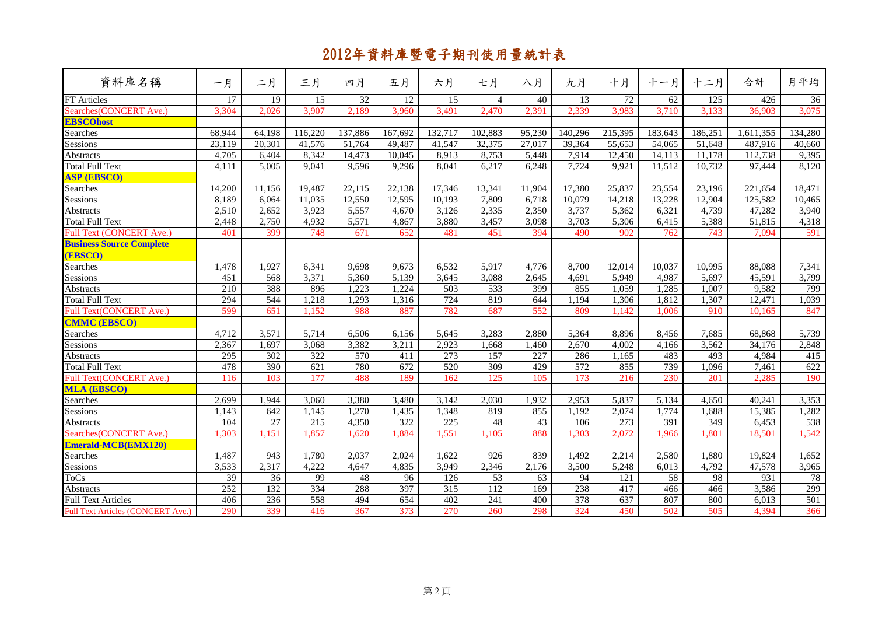| 資料庫名稱                                      | 一月               | 二月              | 三月               | 四月      | 五月      | 六月               | 七月             | 八月     | 九月               | 十月      | 十一月     | 十二月     | 合計        | 月平均     |
|--------------------------------------------|------------------|-----------------|------------------|---------|---------|------------------|----------------|--------|------------------|---------|---------|---------|-----------|---------|
| FT Articles                                | 17               | 19              | 15               | 32      | 12      | 15               | $\overline{4}$ | 40     | 13               | 72      | 62      | 125     | 426       | 36      |
| Searches(CONCERT Ave.)                     | 3,304            | 2,026           | 3,907            | 2,189   | 3,960   | 3,491            | 2,470          | 2,391  | 2,339            | 3,983   | 3,710   | 3,133   | 36,903    | 3,075   |
| <b>EBSCOhost</b>                           |                  |                 |                  |         |         |                  |                |        |                  |         |         |         |           |         |
| Searches                                   | 68,944           | 64,198          | 116,220          | 137,886 | 167,692 | 132,717          | 102,883        | 95,230 | 140,296          | 215,395 | 183,643 | 186,251 | 1,611,355 | 134,280 |
| Sessions                                   | 23,119           | 20,301          | 41,576           | 51,764  | 49,487  | 41,547           | 32,375         | 27,017 | 39,364           | 55,653  | 54,065  | 51,648  | 487,916   | 40,660  |
| Abstracts                                  | 4,705            | 6.404           | 8,342            | 14,473  | 10,045  | 8,913            | 8,753          | 5,448  | 7,914            | 12,450  | 14,113  | 11,178  | 112,738   | 9,395   |
| Total Full Text                            | 4,111            | 5,005           | 9,041            | 9,596   | 9,296   | 8,041            | 6,217          | 6,248  | 7,724            | 9,921   | 11,512  | 10,732  | 97,444    | 8,120   |
| <b>ASP (EBSCO)</b>                         |                  |                 |                  |         |         |                  |                |        |                  |         |         |         |           |         |
|                                            | 14,200           | 11,156          | 19,487           | 22,115  | 22,138  | 17,346           | 13,341         | 11,904 | 17,380           | 25,837  | 23,554  | 23,196  | 221,654   | 18,471  |
| Searches<br>Sessions                       | 8,189            | 6,064           | 11,035           | 12,550  | 12,595  | 10,193           | 7,809          | 6,718  | 10,079           | 14,218  | 13,228  | 12,904  | 125,582   | 10,465  |
| Abstracts                                  | 2,510            | 2,652           | 3,923            | 5,557   | 4,670   | 3,126            | 2,335          | 2,350  | 3,737            | 5,362   | 6,321   | 4,739   | 47,282    | 3,940   |
| Total Full Text                            | 2,448            | 2,750           | 4,932            | 5,571   | 4,867   | 3,880            | 3,457          | 3,098  | 3,703            | 5,306   | 6,415   | 5,388   | 51,815    | 4,318   |
| Full Text (CONCERT Ave.)                   | 401              | 399             | 748              | 671     | 652     | 481              | 451            | 394    | 490              | 902     | 762     | 743     | 7,094     | 591     |
| <b>Business Source Complete</b><br>(EBSCO) |                  |                 |                  |         |         |                  |                |        |                  |         |         |         |           |         |
| Searches                                   | 1,478            | 1,927           | 6,341            | 9,698   | 9,673   | 6,532            | 5,917          | 4,776  | 8,700            | 12,014  | 10,037  | 10,995  | 88,088    | 7,341   |
| Sessions                                   | 451              | 568             | 3,371            | 5,360   | 5,139   | 3,645            | 3,088          | 2,645  | 4,691            | 5,949   | 4,987   | 5,697   | 45,591    | 3,799   |
| Abstracts                                  | 210              | 388             | 896              | 1,223   | 1,224   | $\overline{503}$ | 533            | 399    | 855              | 1,059   | 1,285   | 1,007   | 9,582     | 799     |
| <b>Total Full Text</b>                     | 294              | 544             | 1,218            | 1,293   | 1,316   | 724              | 819            | 644    | 1,194            | 1,306   | 1,812   | 1,307   | 12,471    | 1,039   |
| Full Text(CONCERT Ave.)                    | 599              | 651             | 1,152            | 988     | 887     | 782              | 687            | 552    | 809              | 1.142   | 1.006   | 910     | 10,165    | 847     |
| <b>CMMC (EBSCO)</b>                        |                  |                 |                  |         |         |                  |                |        |                  |         |         |         |           |         |
| Searches                                   | 4,712            | 3,571           | 5,714            | 6,506   | 6,156   | 5,645            | 3,283          | 2,880  | 5,364            | 8,896   | 8,456   | 7,685   | 68,868    | 5,739   |
| Sessions                                   | 2,367            | 1,697           | 3,068            | 3,382   | 3,211   | 2,923            | 1,668          | 1,460  | 2,670            | 4,002   | 4,166   | 3,562   | 34,176    | 2,848   |
| Abstracts                                  | $\overline{295}$ | 302             | 322              | 570     | 411     | 273              | 157            | 227    | 286              | 1,165   | 483     | 493     | 4,984     | 415     |
| Total Full Text                            | 478              | 390             | $\overline{621}$ | 780     | 672     | $\overline{520}$ | 309            | 429    | $\overline{572}$ | 855     | 739     | 1,096   | 7,461     | 622     |
| Full Text(CONCERT Ave.)                    | 116              | 103             | 177              | 488     | 189     | 162              | 125            | 105    | 173              | 216     | 230     | 201     | 2,285     | 190     |
| <b>MLA (EBSCO)</b>                         |                  |                 |                  |         |         |                  |                |        |                  |         |         |         |           |         |
| Searches                                   | 2,699            | 1,944           | 3,060            | 3,380   | 3,480   | 3,142            | 2,030          | 1,932  | 2,953            | 5,837   | 5,134   | 4,650   | 40,241    | 3,353   |
| Sessions                                   | 1,143            | 642             | 1,145            | 1,270   | 1,435   | 1,348            | 819            | 855    | 1,192            | 2,074   | 1,774   | 1,688   | 15,385    | 1,282   |
|                                            | 104              | $\overline{27}$ | 215              | 4,350   | 322     | 225              | 48             | 43     | 106              | 273     | 391     | 349     | 6,453     | 538     |
| Abstracts<br>Searches (CONCERT Ave.)       | 1,303            | 1,151           | 1,857            | 1,620   | 1,884   | 1,551            | 1,105          | 888    | 1,303            | 2,072   | 1,966   | 1,801   | 18,501    | 1,542   |
| Emerald-MCB(EMX120)                        |                  |                 |                  |         |         |                  |                |        |                  |         |         |         |           |         |
| Searches                                   | 1,487            | 943             | 1,780            | 2,037   | 2,024   | 1,622            | 926            | 839    | 1,492            | 2,214   | 2,580   | 1,880   | 19,824    | 1,652   |
| Sessions                                   | 3,533            | 2,317           | 4,222            | 4,647   | 4,835   | 3,949            | 2,346          | 2,176  | 3,500            | 5,248   | 6,013   | 4,792   | 47,578    | 3,965   |
| <b>ToCs</b>                                | 39               | 36              | 99               | 48      | 96      | 126              | 53             | 63     | 94               | 121     | 58      | 98      | 931       | 78      |
| <b>Abstracts</b>                           | 252              | 132             | 334              | 288     | 397     | 315              | 112            | 169    | 238              | 417     | 466     | 466     | 3,586     | 299     |
| <b>Full Text Articles</b>                  | 406              | 236             | 558              | 494     | 654     | 402              | 241            | 400    | 378              | 637     | 807     | 800     | 6,013     | 501     |
| Full Text Articles (CONCERT Ave.)          | 290              | 339             | 416              | 367     | 373     | 270              | 260            | 298    | 324              | 450     | 502     | 505     | 4,394     | 366     |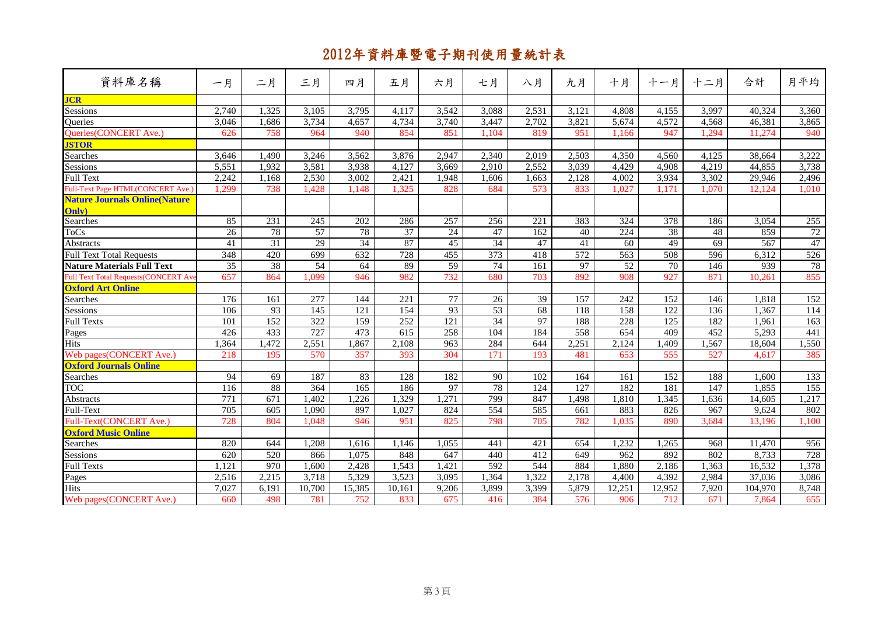| 資料庫名稱                                       | 一月               | 二月    | 三月              | 四月     | 五月               | 六月    | 七月               | 八月               | 九月    | 十月     | 十一月    | 十二月   | 合計      | 月平均             |
|---------------------------------------------|------------------|-------|-----------------|--------|------------------|-------|------------------|------------------|-------|--------|--------|-------|---------|-----------------|
| <b>JCR</b>                                  |                  |       |                 |        |                  |       |                  |                  |       |        |        |       |         |                 |
| Sessions                                    | 2.740            | 1,325 | 3,105           | 3,795  | 4,117            | 3,542 | 3.088            | 2.531            | 3.121 | 4.808  | 4,155  | 3,997 | 40.324  | 3,360           |
| Queries                                     | 3,046            | 1,686 | 3,734           | 4,657  | 4,734            | 3,740 | 3,447            | 2,702            | 3,821 | 5,674  | 4,572  | 4,568 | 46,381  | 3,865           |
| Queries(CONCERT Ave.)                       | 626              | 758   | 964             | 940    | 854              | 851   | 1.104            | 819              | 951   | 1.166  | 947    | 1.294 | 11.274  | 940             |
| <b>JSTOR</b>                                |                  |       |                 |        |                  |       |                  |                  |       |        |        |       |         |                 |
| Searches                                    | 3.646            | 1,490 | 3,246           | 3,562  | 3,876            | 2.947 | 2.340            | 2,019            | 2,503 | 4.350  | 4.560  | 4.125 | 38,664  | 3,222           |
| Sessions                                    | 5,551            | 1.932 | 3.581           | 3,938  | 4.127            | 3,669 | 2,910            | 2.552            | 3.039 | 4.429  | 4,908  | 4,219 | 44.855  | 3,738           |
| <b>Full Text</b>                            | 2,242            | 1.168 | 2,530           | 3,002  | 2,421            | 1,948 | 1.606            | 1,663            | 2,128 | 4,002  | 3,934  | 3,302 | 29,946  | 2,496           |
| Full-Text Page HTML(CONCERT Ave.)           | 1,299            | 738   | 1,428           | 1.148  | 1,325            | 828   | 684              | 573              | 833   | 1,027  | 1,171  | 1.070 | 12,124  | 1,010           |
| <b>Nature Journals Online (Nature</b>       |                  |       |                 |        |                  |       |                  |                  |       |        |        |       |         |                 |
| Only)                                       |                  |       |                 |        |                  |       |                  |                  |       |        |        |       |         |                 |
| Searches                                    | 85               | 231   | 245             | 202    | 286              | 257   | 256              | $\overline{221}$ | 383   | 324    | 378    | 186   | 3,054   | 255             |
| <b>ToCs</b>                                 | 26               | 78    | 57              | 78     | $\overline{37}$  | 24    | 47               | 162              | 40    | 224    | 38     | 48    | 859     | $\overline{72}$ |
| Abstracts                                   | 41               | 31    | $\overline{29}$ | 34     | 87               | 45    | 34               | 47               | 41    | 60     | 49     | 69    | 567     | 47              |
| <b>Full Text Total Requests</b>             | $\overline{348}$ | 420   | 699             | 632    | 728              | 455   | $\overline{373}$ | 418              | 572   | 563    | 508    | 596   | 6,312   | 526             |
| <b>Nature Materials Full Text</b>           | 35               | 38    | 54              | 64     | 89               | 59    | 74               | 161              | 97    | 52     | 70     | 146   | 939     | 78              |
| <b>Full Text Total Requests(CONCERT Ave</b> | 657              | 864   | 1,099           | 946    | 982              | 732   | 680              | 703              | 892   | 908    | 927    | 871   | 10,261  | 855             |
| <b>Oxford Art Online</b>                    |                  |       |                 |        |                  |       |                  |                  |       |        |        |       |         |                 |
| Searches                                    | 176              | 161   | 277             | 144    | $\overline{221}$ | 77    | $\overline{26}$  | 39               | 157   | 242    | 152    | 146   | 1,818   | 152             |
| <b>Sessions</b>                             | 106              | 93    | 145             | 121    | 154              | 93    | 53               | 68               | 118   | 158    | 122    | 136   | 1,367   | 114             |
| <b>Full Texts</b>                           | 101              | 152   | 322             | 159    | 252              | 121   | 34               | 97               | 188   | 228    | 125    | 182   | 1.961   | 163             |
| Pages                                       | 426              | 433   | 727             | 473    | 615              | 258   | 104              | 184              | 558   | 654    | 409    | 452   | 5,293   | 441             |
| <b>Hits</b>                                 | .364             | 1,472 | 2,551           | 1,867  | 2.108            | 963   | 284              | 644              | 2,251 | 2,124  | 1,409  | 1,567 | 18,604  | 1,550           |
| Web pages(CONCERT Ave.)                     | 218              | 195   | 570             | 357    | 393              | 304   | 171              | 193              | 481   | 653    | 555    | 527   | 4,617   | 385             |
| <b>Oxford Journals Online</b>               |                  |       |                 |        |                  |       |                  |                  |       |        |        |       |         |                 |
| Searches                                    | 94               | 69    | 187             | 83     | 128              | 182   | 90               | 102              | 164   | 161    | 152    | 188   | 1.600   | 133             |
| <b>TOC</b>                                  | 116              | 88    | 364             | 165    | 186              | 97    | 78               | 124              | 127   | 182    | 181    | 147   | 1,855   | 155             |
| Abstracts                                   | $\overline{771}$ | 671   | 1,402           | 1,226  | 1,329            | 1,271 | 799              | 847              | 1,498 | 1,810  | 1,345  | 1,636 | 14,605  | 1,217           |
| Full-Text                                   | 705              | 605   | 1,090           | 897    | 1,027            | 824   | 554              | 585              | 661   | 883    | 826    | 967   | 9,624   | 802             |
| Full-Text(CONCERT Ave.)                     | 728              | 804   | 1,048           | 946    | 951              | 825   | 798              | 705              | 782   | 1,035  | 890    | 3,684 | 13,196  | 1,100           |
| <b>Oxford Music Online</b>                  |                  |       |                 |        |                  |       |                  |                  |       |        |        |       |         |                 |
| Searches                                    | 820              | 644   | 1,208           | 1,616  | 1,146            | 1,055 | 441              | 421              | 654   | 1,232  | 1,265  | 968   | 11,470  | 956             |
| Sessions                                    | 620              | 520   | 866             | 1,075  | 848              | 647   | 440              | 412              | 649   | 962    | 892    | 802   | 8,733   | 728             |
| <b>Full Texts</b>                           | 1,121            | 970   | 1,600           | 2,428  | 1,543            | 1,421 | $\overline{592}$ | 544              | 884   | 1,880  | 2,186  | 1,363 | 16,532  | 1,378           |
| Pages                                       | 2,516            | 2,215 | 3,718           | 5,329  | 3,523            | 3,095 | 1,364            | 1,322            | 2,178 | 4,400  | 4,392  | 2,984 | 37,036  | 3,086           |
| <b>Hits</b>                                 | 7,027            | 6,191 | 10,700          | 15,385 | 10,161           | 9,206 | 3,899            | 3,399            | 5,879 | 12,251 | 12,952 | 7,920 | 104,970 | 8,748           |
| Web pages(CONCERT Ave.)                     | 660              | 498   | 781             | 752    | 833              | 675   | 416              | 384              | 576   | 906    | 712    | 671   | 7,864   | 655             |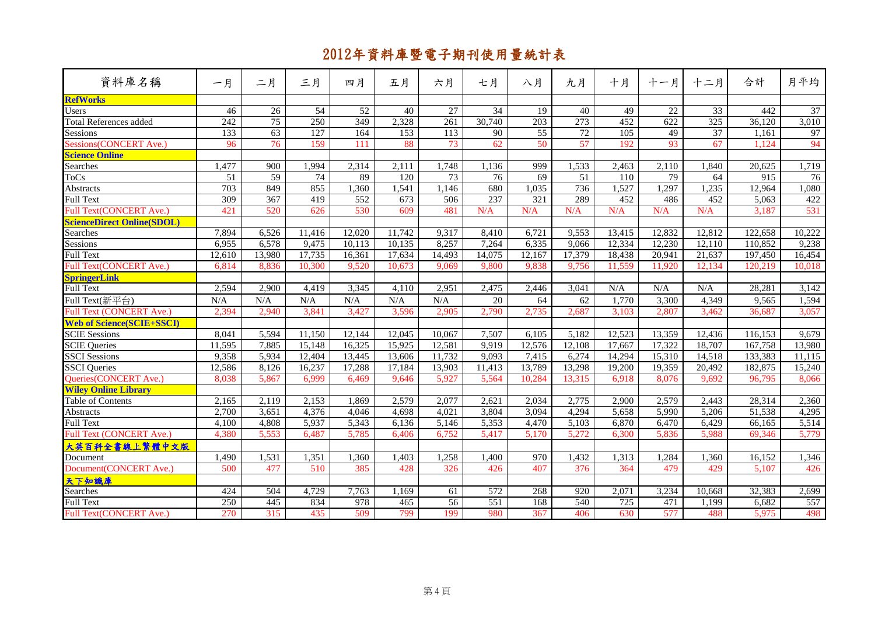| 資料庫名稱                             | 一月               | 二月              | 三月               | 四月               | 五月               | 六月               | 七月               | 八月               | 九月               | 十月               | 十一月             | 十二月    | 合計      | 月平均             |
|-----------------------------------|------------------|-----------------|------------------|------------------|------------------|------------------|------------------|------------------|------------------|------------------|-----------------|--------|---------|-----------------|
| <b>RefWorks</b>                   |                  |                 |                  |                  |                  |                  |                  |                  |                  |                  |                 |        |         |                 |
| <b>Users</b>                      | 46               | $\overline{26}$ | 54               | $\overline{52}$  | 40               | 27               | $\overline{34}$  | 19               | 40               | 49               | $\overline{22}$ | 33     | 442     | $\overline{37}$ |
| Total References added            | $\overline{242}$ | 75              | $\overline{250}$ | 349              | 2,328            | $\overline{261}$ | 30,740           | $\overline{203}$ | $\overline{273}$ | 452              | 622             | 325    | 36,120  | 3,010           |
| Sessions                          | 133              | 63              | 127              | 164              | 153              | $\overline{113}$ | 90               | 55               | 72               | 105              | 49              | 37     | 1,161   | 97              |
| Sessions(CONCERT Ave.)            | 96               | $\overline{76}$ | 159              | 111              | 88               | 73               | 62               | 50               | 57               | 192              | 93              | 67     | 1,124   | 94              |
| <b>Science Online</b>             |                  |                 |                  |                  |                  |                  |                  |                  |                  |                  |                 |        |         |                 |
| Searches                          | 1,477            | 900             | 1,994            | 2,314            | 2,111            | 1,748            | 1,136            | 999              | 1,533            | 2,463            | 2,110           | 1,840  | 20,625  | 1,719           |
| <b>ToCs</b>                       | 51               | 59              | 74               | 89               | $\overline{120}$ | 73               | 76               | 69               | 51               | 110              | 79              | 64     | 915     | 76              |
| Abstracts                         | 703              | 849             | 855              | 1,360            | 1,541            | 1,146            | 680              | 1,035            | 736              | 1,527            | 1,297           | 1,235  | 12,964  | 1,080           |
| <b>Full Text</b>                  | 309              | 367             | 419              | $\overline{552}$ | 673              | 506              | 237              | 321              | 289              | 452              | 486             | 452    | 5,063   | 422             |
| Full Text(CONCERT Ave.)           | 421              | 520             | 626              | 530              | 609              | 481              | N/A              | N/A              | N/A              | N/A              | N/A             | N/A    | 3,187   | 531             |
| <b>ScienceDirect Online(SDOL)</b> |                  |                 |                  |                  |                  |                  |                  |                  |                  |                  |                 |        |         |                 |
| Searches                          | 7,894            | 6,526           | 11,416           | 12,020           | 11.742           | 9,317            | 8,410            | 6.721            | 9,553            | 13,415           | 12,832          | 12,812 | 122,658 | 10,222          |
| Sessions                          | 6,955            | 6,578           | 9,475            | 10,113           | 10,135           | 8,257            | 7,264            | 6,335            | 9.066            | 12,334           | 12,230          | 12,110 | 110,852 | 9,238           |
| <b>Full Text</b>                  | 12,610           | 13,980          | 17,735           | 16,361           | 17,634           | 14,493           | 14,075           | 12,167           | 17,379           | 18,438           | 20,941          | 21,637 | 197,450 | 16,454          |
| Full Text(CONCERT Ave.)           | 6.814            | 8,836           | 10,300           | 9.520            | 10.673           | 9.069            | 9.800            | 9,838            | 9,756            | 11,559           | 11,920          | 12.134 | 120.219 | 10,018          |
| <b>SpringerLink</b>               |                  |                 |                  |                  |                  |                  |                  |                  |                  |                  |                 |        |         |                 |
| Full Text                         | 2,594            | 2,900           | 4,419            | 3,345            | 4.110            | 2,951            | 2,475            | 2,446            | 3,041            | N/A              | N/A             | N/A    | 28,281  | 3,142           |
| Full Text(新平台)                    | N/A              | N/A             | N/A              | N/A              | N/A              | N/A              | 20               | 64               | 62               | 1,770            | 3,300           | 4,349  | 9,565   | 1,594           |
| <b>Full Text (CONCERT Ave.)</b>   | 2,394            | 2,940           | 3,841            | 3,427            | 3,596            | 2,905            | 2,790            | 2,735            | 2.687            | 3,103            | 2,807           | 3,462  | 36,687  | 3,057           |
| <b>Web of Science(SCIE+SSCI)</b>  |                  |                 |                  |                  |                  |                  |                  |                  |                  |                  |                 |        |         |                 |
| <b>SCIE Sessions</b>              | 8.041            | 5,594           | 11,150           | 12,144           | 12,045           | 10.067           | 7,507            | 6,105            | 5,182            | 12,523           | 13,359          | 12,436 | 116,153 | 9,679           |
| <b>SCIE</b> Queries               | 11,595           | 7,885           | 15,148           | 16,325           | 15,925           | 12,581           | 9,919            | 12,576           | 12,108           | 17,667           | 17,322          | 18,707 | 167,758 | 13,980          |
| <b>SSCI</b> Sessions              | 9,358            | 5,934           | 12,404           | 13,445           | 13,606           | 11,732           | 9,093            | 7,415            | 6,274            | 14,294           | 15,310          | 14,518 | 133,383 | 11,115          |
| <b>SSCI</b> Queries               | 12,586           | 8,126           | 16,237           | 17,288           | 17,184           | 13,903           | 11,413           | 13,789           | 13,298           | 19,200           | 19,359          | 20,492 | 182,875 | 15,240          |
| Queries(CONCERT Ave.)             | 8.038            | 5,867           | 6,999            | 6,469            | 9.646            | 5.927            | 5,564            | 10,284           | 13,315           | 6,918            | 8,076           | 9.692  | 96,795  | 8,066           |
| <b>Wiley Online Library</b>       |                  |                 |                  |                  |                  |                  |                  |                  |                  |                  |                 |        |         |                 |
| Table of Contents                 | 2,165            | 2,119           | 2,153            | 1,869            | 2,579            | 2,077            | 2,621            | 2,034            | 2,775            | 2,900            | 2,579           | 2,443  | 28,314  | 2,360           |
| <b>Abstracts</b>                  | 2,700            | 3,651           | 4,376            | 4,046            | 4,698            | 4,021            | 3,804            | 3,094            | 4,294            | 5,658            | 5,990           | 5,206  | 51,538  | 4,295           |
| <b>Full Text</b>                  | 4,100            | 4,808           | 5,937            | 5,343            | 6,136            | 5,146            | 5,353            | 4,470            | 5,103            | 6,870            | 6,470           | 6,429  | 66,165  | 5,514           |
| Full Text (CONCERT Ave.)          | 4,380            | 5,553           | 6,487            | 5,785            | 6,406            | 6,752            | 5,417            | 5,170            | 5,272            | 6,300            | 5,836           | 5,988  | 69,346  | 5,779           |
| 大英百科全書線上繁體中文版                     |                  |                 |                  |                  |                  |                  |                  |                  |                  |                  |                 |        |         |                 |
| Document                          | 1,490            | 1,531           | 1,351            | 1,360            | 1,403            | 1,258            | 1,400            | 970              | 1,432            | 1,313            | 1,284           | 1,360  | 16,152  | 1,346           |
| Document(CONCERT Ave.)            | 500              | 477             | 510              | 385              | 428              | 326              | 426              | 407              | 376              | 364              | 479             | 429    | 5,107   | 426             |
| 天下知識庫                             |                  |                 |                  |                  |                  |                  |                  |                  |                  |                  |                 |        |         |                 |
| Searches                          | 424              | 504             | 4,729            | 7,763            | 1,169            | 61               | $\overline{572}$ | 268              | 920              | 2,071            | 3,234           | 10,668 | 32,383  | 2,699           |
| <b>Full Text</b>                  | 250              | 445             | 834              | 978              | 465              | 56               | 551              | 168              | 540              | $\overline{725}$ | 471             | 1,199  | 6,682   | 557             |
| Full Text(CONCERT Ave.)           | 270              | 315             | 435              | 509              | 799              | 199              | 980              | 367              | 406              | 630              | 577             | 488    | 5,975   | 498             |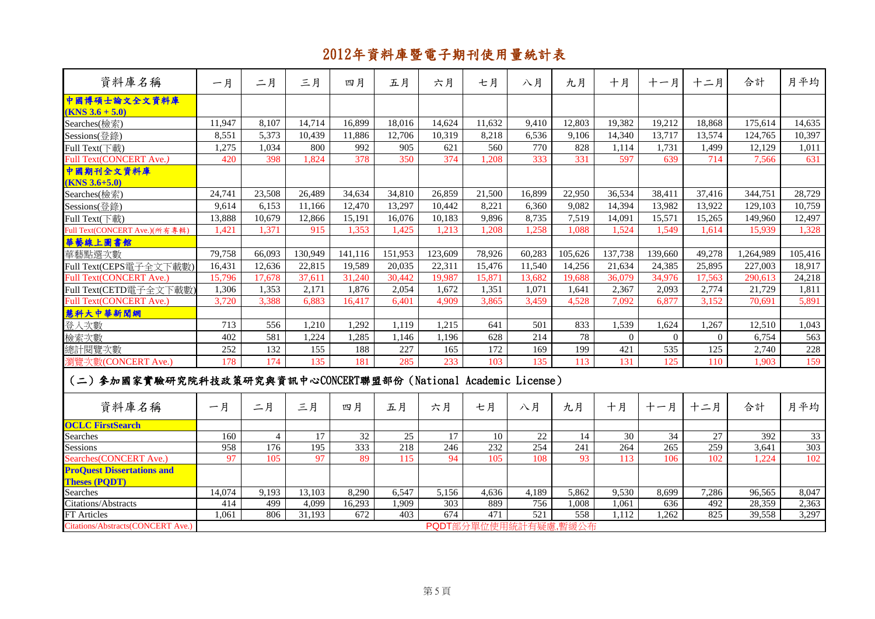| 資料庫名稱                                                         | 一月     | 二月             | 三月               | 四月              | 五月      | 六月      | 七月                   | 八月     | 九月               | 十月       | 十一月      | 十二月          | 合計        | 月平均     |
|---------------------------------------------------------------|--------|----------------|------------------|-----------------|---------|---------|----------------------|--------|------------------|----------|----------|--------------|-----------|---------|
| 中國博碩士論文全文資料庫<br>$(KNS 3.6 + 5.0)$                             |        |                |                  |                 |         |         |                      |        |                  |          |          |              |           |         |
| Searches(檢索)                                                  | 11,947 | 8,107          | 14,714           | 16,899          | 18,016  | 14,624  | 11,632               | 9,410  | 12,803           | 19,382   | 19,212   | 18,868       | 175,614   | 14,635  |
| Sessions(登錄)                                                  | 8,551  | 5,373          | 10.439           | 11,886          | 12,706  | 10,319  | 8.218                | 6.536  | 9.106            | 14,340   | 13,717   | 13,574       | 124,765   | 10,397  |
| Full Text(下載)                                                 | 1,275  | 1,034          | 800              | 992             | 905     | 621     | 560                  | 770    | 828              | 1,114    | 1,731    | 1,499        | 12,129    | 1,011   |
| <b>Full Text(CONCERT Ave.)</b>                                | 420    | 398            | 1,824            | 378             | 350     | 374     | 1,208                | 333    | 331              | 597      | 639      | 714          | 7,566     | 631     |
| 中國期刊全文資料庫                                                     |        |                |                  |                 |         |         |                      |        |                  |          |          |              |           |         |
| $(KNS 3.6 + 5.0)$                                             |        |                |                  |                 |         |         |                      |        |                  |          |          |              |           |         |
| Searches(檢索)                                                  | 24,741 | 23,508         | 26,489           | 34,634          | 34,810  | 26,859  | 21,500               | 16,899 | 22,950           | 36,534   | 38,411   | 37,416       | 344,751   | 28,729  |
| Sessions(登錄)                                                  | 9,614  | 6,153          | 11,166           | 12,470          | 13,297  | 10,442  | 8,221                | 6,360  | 9,082            | 14,394   | 13,982   | 13,922       | 129,103   | 10,759  |
| Full Text(下載)                                                 | 13,888 | 10,679         | 12,866           | 15,191          | 16,076  | 10,183  | 9,896                | 8,735  | 7,519            | 14,091   | 15,571   | 15,265       | 149,960   | 12,497  |
| Full Text(CONCERT Ave.)(所有專輯)                                 | 1,421  | 1,371          | 915              | 1,353           | 1,425   | 1,213   | 1,208                | 1,258  | 1,088            | 1,524    | 1,549    | 1,614        | 15,939    | 1,328   |
| 華藝線上圖書館                                                       |        |                |                  |                 |         |         |                      |        |                  |          |          |              |           |         |
| 華藝點選次數                                                        | 79,758 | 66,093         | 130,949          | 141,116         | 151,953 | 123,609 | 78,926               | 60,283 | 105,626          | 137,738  | 139,660  | 49,278       | 1,264,989 | 105,416 |
| Full Text(CEPS電子全文下載數)                                        | 16,431 | 12,636         | 22,815           | 19,589          | 20,035  | 22,311  | 15,476               | 11,540 | 14,256           | 21,634   | 24,385   | 25,895       | 227,003   | 18,917  |
| Full Text(CONCERT Ave.)                                       | 15,796 | 17,678         | 37,611           | 31,240          | 30,442  | 19,987  | 15,871               | 13,682 | 19,688           | 36,079   | 34,976   | 17,563       | 290,613   | 24,218  |
| Full Text(CETD電子全文下載數)                                        | 1,306  | 1,353          | 2,171            | 1,876           | 2,054   | 1,672   | 1,351                | 1,071  | 1,641            | 2,367    | 2,093    | 2,774        | 21,729    | 1,811   |
| Full Text(CONCERT Ave.)                                       | 3,720  | 3,388          | 6.883            | 16,417          | 6.401   | 4,909   | 3,865                | 3,459  | 4,528            | 7,092    | 6.877    | 3,152        | 70.691    | 5,891   |
| 慧科大中華新聞網                                                      |        |                |                  |                 |         |         |                      |        |                  |          |          |              |           |         |
| 登入次數                                                          | 713    | 556            | 1,210            | 1,292           | 1,119   | 1,215   | 641                  | 501    | 833              | 1,539    | 1,624    | 1,267        | 12,510    | 1,043   |
| 檢索次數                                                          | 402    | 581            | 1,224            | 1,285           | 1,146   | 1,196   | 628                  | 214    | 78               | $\Omega$ | $\Omega$ | $\mathbf{0}$ | 6,754     | 563     |
| 總計閱覽次數                                                        | 252    | 132            | 155              | 188             | 227     | 165     | 172                  | 169    | 199              | 421      | 535      | 125          | 2,740     | 228     |
| 瀏覽次數(CONCERT Ave.)                                            | 178    | 174            | 135              | 181             | 285     | 233     | 103                  | 135    | 113              | 131      | 125      | 110          | 1,903     | 159     |
| (二)参加國家實驗研究院科技政策研究與資訊中心CONCERT聯盟部份(National Academic License) |        |                |                  |                 |         |         |                      |        |                  |          |          |              |           |         |
| 資料庫名稱                                                         | 一月     | 二月             | 三月               | 四月              | 五月      | 六月      | 七月                   | 八月     | 九月               | 十月       | 十一月      | 十二月          | 合計        | 月平均     |
| <b>OCLC FirstSearch</b>                                       |        |                |                  |                 |         |         |                      |        |                  |          |          |              |           |         |
| Searches                                                      | 160    | $\overline{4}$ | 17               | $\overline{32}$ | 25      | 17      | 10                   | 22     | 14               | 30       | 34       | 27           | 392       | 33      |
| Sessions                                                      | 958    | 176            | $\overline{195}$ | 333             | 218     | 246     | 232                  | 254    | $\overline{241}$ | 264      | 265      | 259          | 3,641     | 303     |
| Searches(CONCERT Ave.)                                        | 97     | 105            | 97               | 89              | 115     | 94      | 105                  | 108    | 93               | 113      | 106      | 102          | 1,224     | 102     |
| <b>ProQuest Dissertations and</b><br><b>Theses (PQDT)</b>     |        |                |                  |                 |         |         |                      |        |                  |          |          |              |           |         |
| <b>Searches</b>                                               | 14,074 | 9,193          | 13,103           | 8,290           | 6,547   | 5,156   | 4,636                | 4,189  | 5,862            | 9,530    | 8,699    | 7,286        | 96,565    | 8,047   |
| Citations/Abstracts                                           | 414    | 499            | 4,099            | 16,293          | 1,909   | 303     | 889                  | 756    | 1,008            | 1,061    | 636      | 492          | 28,359    | 2,363   |
| FT Articles                                                   | 1.061  | 806            | 31,193           | 672             | 403     | 674     | 471                  | 521    | 558              | 1.112    | 1,262    | 825          | 39,558    | 3,297   |
| <b>Citations/Abstracts(CONCERT Ave.)</b>                      |        |                |                  |                 |         |         | PQDT部分單位使用統計有疑慮,暫緩公布 |        |                  |          |          |              |           |         |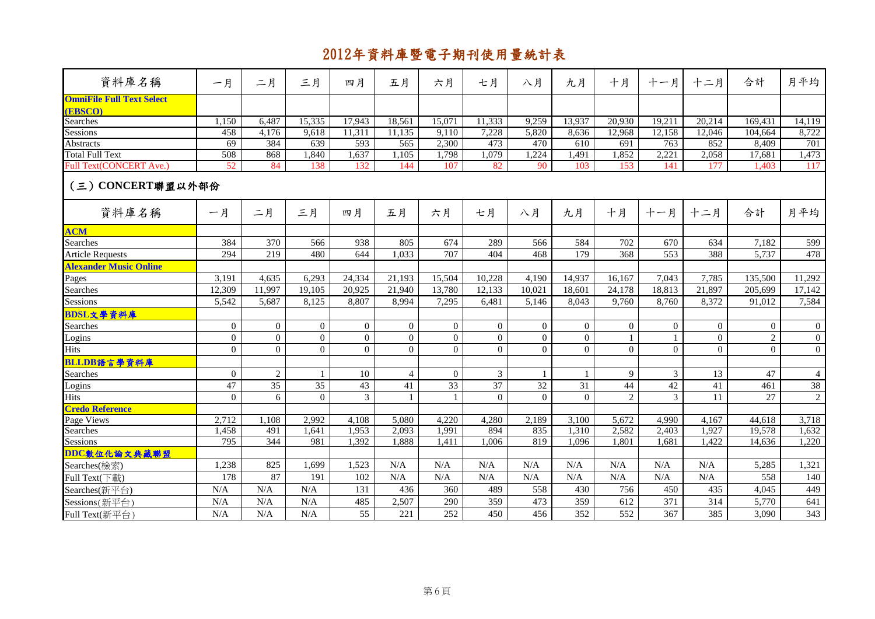| 資料庫名稱                                       | 一月               | 二月              | 三月              | 四月             | 五月             | 六月               | 七月              | 八月              | 九月              | 十月             | 十一月              | 十二月            | 合計             | 月平均            |
|---------------------------------------------|------------------|-----------------|-----------------|----------------|----------------|------------------|-----------------|-----------------|-----------------|----------------|------------------|----------------|----------------|----------------|
| <b>OmniFile Full Text Select</b><br>(EBSCO) |                  |                 |                 |                |                |                  |                 |                 |                 |                |                  |                |                |                |
| Searches                                    | 1,150            | 6,487           | 15,335          | 17,943         | 18,561         | 15,071           | 11,333          | 9,259           | 13,937          | 20,930         | 19,211           | 20,214         | 169,431        | 14,119         |
| Sessions                                    | 458              | 4,176           | 9,618           | 11,311         | 11,135         | 9,110            | 7,228           | 5,820           | 8,636           | 12,968         | 12,158           | 12,046         | 104,664        | 8,722          |
| <b>Abstracts</b>                            | 69               | 384             | 639             | 593            | 565            | 2,300            | 473             | 470             | 610             | 691            | 763              | 852            | 8,409          | 701            |
| <b>Total Full Text</b>                      | 508              | 868             | 1,840           | 1,637          | 1,105          | 1,798            | 1,079           | 1,224           | 1,491           | 1,852          | 2,221            | 2,058          | 17,681         | 1,473          |
| <b>Full Text(CONCERT Ave.)</b>              | 52               | 84              | 138             | 132            | 144            | 107              | 82              | 90              | 103             | 153            | 141              | 177            | 1.403          | 117            |
| (三) CONCERT聯盟以外部份                           |                  |                 |                 |                |                |                  |                 |                 |                 |                |                  |                |                |                |
| 資料庫名稱                                       | 一月               | 二月              | 三月              | 四月             | 五月             | 六月               | 七月              | 八月              | 九月              | 十月             | 十一月              | 十二月            | 合計             | 月平均            |
| <b>ACM</b>                                  |                  |                 |                 |                |                |                  |                 |                 |                 |                |                  |                |                |                |
| Searches                                    | 384              | 370             | 566             | 938            | 805            | 674              | 289             | 566             | 584             | 702            | 670              | 634            | 7,182          | 599            |
| <b>Article Requests</b>                     | 294              | 219             | 480             | 644            | 1,033          | 707              | 404             | 468             | 179             | 368            | 553              | 388            | 5,737          | 478            |
| <b>Alexander Music Online</b>               |                  |                 |                 |                |                |                  |                 |                 |                 |                |                  |                |                |                |
| Pages                                       | 3,191            | 4,635           | 6,293           | 24,334         | 21,193         | 15,504           | 10,228          | 4.190           | 14,937          | 16,167         | 7,043            | 7,785          | 135,500        | 11,292         |
| Searches                                    | 12,309           | 11,997          | 19,105          | 20,925         | 21,940         | 13,780           | 12,133          | 10,021          | 18,601          | 24,178         | 18,813           | 21,897         | 205,699        | 17,142         |
| Sessions                                    | 5,542            | 5,687           | 8,125           | 8,807          | 8,994          | 7,295            | 6,481           | 5,146           | 8,043           | 9,760          | 8,760            | 8,372          | 91,012         | 7,584          |
| BDSL文學資料庫                                   |                  |                 |                 |                |                |                  |                 |                 |                 |                |                  |                |                |                |
| Searches                                    | $\boldsymbol{0}$ | $\overline{0}$  | $\overline{0}$  | $\overline{0}$ | $\overline{0}$ | $\boldsymbol{0}$ | $\theta$        | $\overline{0}$  | $\overline{0}$  | $\mathbf{0}$   | $\boldsymbol{0}$ | $\overline{0}$ | $\overline{0}$ | $\overline{0}$ |
| Logins                                      | $\boldsymbol{0}$ | $\overline{0}$  | $\overline{0}$  | $\mathbf{0}$   | $\overline{0}$ | $\boldsymbol{0}$ | $\overline{0}$  | $\mathbf{0}$    | $\mathbf{0}$    |                | $\mathbf{1}$     | $\overline{0}$ | $\overline{c}$ | $\mathbf{0}$   |
| Hits                                        | $\overline{0}$   | $\Omega$        | $\Omega$        | $\Omega$       | $\Omega$       | $\mathbf{0}$     | $\Omega$        | $\Omega$        | $\Omega$        | $\Omega$       | $\boldsymbol{0}$ | $\overline{0}$ | $\Omega$       | $\overline{0}$ |
| BLLDB語言學資料庫                                 |                  |                 |                 |                |                |                  |                 |                 |                 |                |                  |                |                |                |
| Searches                                    | $\mathbf{0}$     | $\overline{c}$  | $\mathbf{1}$    | 10             | $\overline{4}$ | $\mathbf{0}$     | 3               | $\mathbf{1}$    | $\mathbf{1}$    | 9              | 3                | 13             | 47             | $\overline{4}$ |
| Logins                                      | 47               | $\overline{35}$ | $\overline{35}$ | 43             | 41             | $\overline{33}$  | $\overline{37}$ | $\overline{32}$ | $\overline{31}$ | 44             | 42               | 41             | 461            | $38\,$         |
| <b>Hits</b>                                 | $\theta$         | 6               | $\theta$        | 3              |                | $\mathbf{1}$     | $\Omega$        | $\Omega$        | $\Omega$        | $\overline{2}$ | 3                | 11             | 27             | $\overline{2}$ |
| <b>Credo Reference</b>                      |                  |                 |                 |                |                |                  |                 |                 |                 |                |                  |                |                |                |
| Page Views                                  | 2,712            | 1.108           | 2,992           | 4,108          | 5.080          | 4,220            | 4,280           | 2.189           | 3,100           | 5,672          | 4,990            | 4,167          | 44,618         | 3,718          |
| Searches                                    | 1,458            | 491             | 1,641           | 1,953          | 2,093          | 1.991            | 894             | 835             | 1,310           | 2,582          | 2,403            | 1,927          | 19,578         | 1,632          |
| Sessions                                    | 795              | 344             | 981             | 1,392          | 1,888          | 1,411            | 1,006           | 819             | 1,096           | 1,801          | 1,681            | 1,422          | 14,636         | 1,220          |
| DDC數位化論文典藏聯盟                                |                  |                 |                 |                |                |                  |                 |                 |                 |                |                  |                |                |                |
| Searches(檢索)                                | 1,238            | 825             | 1,699           | 1,523          | N/A            | N/A              | N/A             | N/A             | N/A             | N/A            | N/A              | N/A            | 5,285          | 1,321          |
| Full Text(下載)                               | 178              | 87              | 191             | 102            | N/A            | N/A              | N/A             | N/A             | N/A             | N/A            | N/A              | N/A            | 558            | 140            |
| Searches(新平台)                               | N/A              | N/A             | N/A             | 131            | 436            | 360              | 489             | 558             | 430             | 756            | 450              | 435            | 4,045          | 449            |
| Sessions(新平台)                               | N/A              | N/A             | N/A             | 485            | 2,507          | 290              | 359             | 473             | 359             | 612            | 371              | 314            | 5,770          | 641            |
| Full Text(新平台)                              | N/A              | N/A             | N/A             | 55             | 221            | 252              | 450             | 456             | 352             | 552            | 367              | 385            | 3,090          | 343            |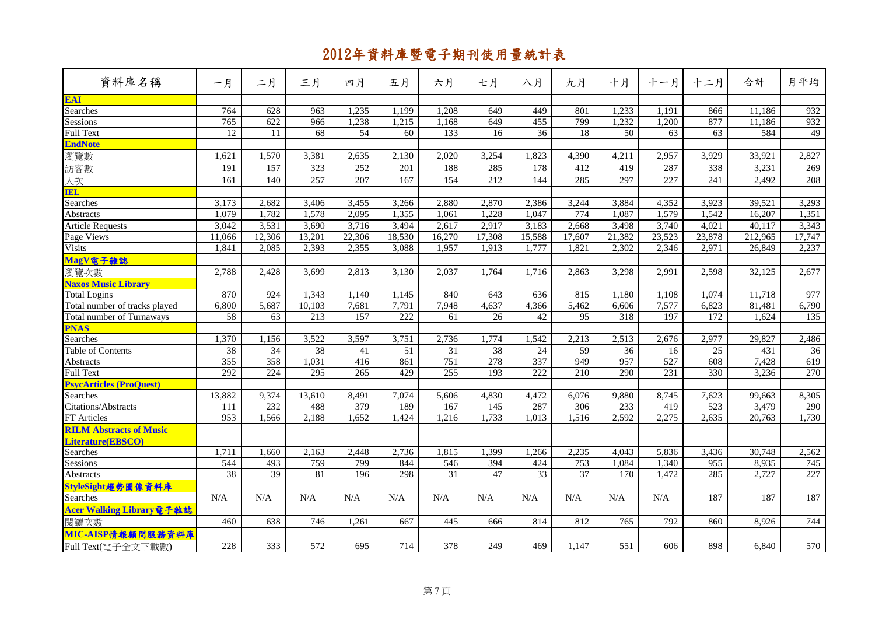| 資料庫名稱                          | 一月              | 二月              | 三月               | 四月     | 五月               | 六月     | 七月              | 八月              | 九月              | 十月     | 十一月    | 十二月             | 合計      | 月平均              |
|--------------------------------|-----------------|-----------------|------------------|--------|------------------|--------|-----------------|-----------------|-----------------|--------|--------|-----------------|---------|------------------|
| <b>EAL</b>                     |                 |                 |                  |        |                  |        |                 |                 |                 |        |        |                 |         |                  |
| Searches                       | 764             | 628             | 963              | 1,235  | 1,199            | 1,208  | 649             | 449             | 801             | 1,233  | 1,191  | 866             | 11,186  | 932              |
| Sessions                       | 765             | 622             | 966              | 1,238  | 1,215            | 1,168  | 649             | 455             | 799             | 1,232  | 1,200  | 877             | 11,186  | 932              |
| <b>Full Text</b>               | 12              | 11              | 68               | 54     | 60               | 133    | 16              | 36              | 18              | 50     | 63     | 63              | 584     | 49               |
| <b>EndNote</b>                 |                 |                 |                  |        |                  |        |                 |                 |                 |        |        |                 |         |                  |
| 瀏覽數                            | 1,621           | 1,570           | 3,381            | 2,635  | 2,130            | 2,020  | 3,254           | 1,823           | 4.390           | 4,211  | 2,957  | 3,929           | 33,921  | 2,827            |
| 訪客數                            | 191             | 157             | 323              | 252    | 201              | 188    | 285             | 178             | 412             | 419    | 287    | 338             | 3,231   | 269              |
| 人次                             | 161             | 140             | 257              | 207    | 167              | 154    | 212             | 144             | 285             | 297    | 227    | 241             | 2,492   | 208              |
| <b>IEL</b>                     |                 |                 |                  |        |                  |        |                 |                 |                 |        |        |                 |         |                  |
| Searches                       | 3,173           | 2,682           | 3,406            | 3,455  | 3,266            | 2,880  | 2,870           | 2,386           | 3,244           | 3,884  | 4,352  | 3,923           | 39,521  | 3,293            |
| Abstracts                      | 1,079           | 1,782           | 1,578            | 2,095  | 1,355            | 1,061  | 1,228           | 1,047           | 774             | 1,087  | 1,579  | 1,542           | 16,207  | 1,351            |
| <b>Article Requests</b>        | 3,042           | 3,531           | 3,690            | 3,716  | 3,494            | 2,617  | 2,917           | 3,183           | 2,668           | 3,498  | 3,740  | 4,021           | 40,117  | 3,343            |
| Page Views                     | 11,066          | 12,306          | 13,201           | 22,306 | 18,530           | 16,270 | 17,308          | 15,588          | 17,607          | 21,382 | 23,523 | 23,878          | 212,965 | 17,747           |
| <b>Visits</b>                  | 1,841           | 2,085           | 2,393            | 2,355  | 3,088            | 1,957  | 1,913           | 1,777           | 1,821           | 2,302  | 2,346  | 2,971           | 26,849  | 2,237            |
| MagV電子雜誌                       |                 |                 |                  |        |                  |        |                 |                 |                 |        |        |                 |         |                  |
| 瀏覽次數                           | 2,788           | 2,428           | 3,699            | 2,813  | 3,130            | 2,037  | 1,764           | 1,716           | 2,863           | 3,298  | 2,991  | 2,598           | 32,125  | 2,677            |
| <b>Naxos Music Library</b>     |                 |                 |                  |        |                  |        |                 |                 |                 |        |        |                 |         |                  |
| <b>Total Logins</b>            | 870             | 924             | 1,343            | 1,140  | 1,145            | 840    | 643             | 636             | 815             | 1,180  | 1,108  | 1,074           | 11,718  | 977              |
| Total number of tracks played  | 6,800           | 5,687           | 10,103           | 7,681  | 7,791            | 7,948  | 4,637           | 4,366           | 5,462           | 6,606  | 7,577  | 6,823           | 81,481  | 6,790            |
| Total number of Turnaways      | $\overline{58}$ | 63              | $\overline{213}$ | 157    | $\overline{222}$ | 61     | 26              | 42              | $\overline{95}$ | 318    | 197    | 172             | 1,624   | $\overline{135}$ |
| <b>PNAS</b>                    |                 |                 |                  |        |                  |        |                 |                 |                 |        |        |                 |         |                  |
| Searches                       | 1,370           | 1,156           | 3,522            | 3,597  | 3,751            | 2,736  | 1,774           | 1,542           | 2,213           | 2,513  | 2,676  | 2,977           | 29,827  | 2,486            |
| Table of Contents              | 38              | $\overline{34}$ | 38               | 41     | $\overline{51}$  | 31     | $\overline{38}$ | $\overline{24}$ | 59              | 36     | 16     | $\overline{25}$ | 431     | 36               |
| <b>Abstracts</b>               | 355             | 358             | 1,031            | 416    | 861              | 751    | 278             | 337             | 949             | 957    | 527    | 608             | 7,428   | 619              |
| <b>Full Text</b>               | 292             | 224             | 295              | 265    | 429              | 255    | 193             | 222             | 210             | 290    | 231    | 330             | 3,236   | 270              |
| <b>PsycArticles (ProQuest)</b> |                 |                 |                  |        |                  |        |                 |                 |                 |        |        |                 |         |                  |
| Searches                       | 13,882          | 9,374           | 13,610           | 8,491  | 7,074            | 5,606  | 4,830           | 4,472           | 6,076           | 9,880  | 8,745  | 7,623           | 99,663  | 8,305            |
| Citations/Abstracts            | 111             | 232             | 488              | 379    | 189              | 167    | 145             | 287             | 306             | 233    | 419    | 523             | 3,479   | 290              |
| FT Articles                    | 953             | 1,566           | 2,188            | 1,652  | 1,424            | 1,216  | 1,733           | 1,013           | 1,516           | 2,592  | 2,275  | 2,635           | 20,763  | 1,730            |
| <b>RILM Abstracts of Music</b> |                 |                 |                  |        |                  |        |                 |                 |                 |        |        |                 |         |                  |
| Literature(EBSCO)              |                 |                 |                  |        |                  |        |                 |                 |                 |        |        |                 |         |                  |
| Searches                       | 1,711           | 1,660           | 2,163            | 2,448  | 2,736            | 1,815  | 1,399           | 1,266           | 2,235           | 4,043  | 5,836  | 3,436           | 30,748  | 2,562            |
| Sessions                       | 544             | 493             | 759              | 799    | 844              | 546    | 394             | 424             | 753             | 1,084  | 1,340  | 955             | 8,935   | 745              |
| <b>Abstracts</b>               | 38              | 39              | 81               | 196    | 298              | 31     | 47              | 33              | 37              | 170    | 1,472  | 285             | 2,727   | 227              |
| StyleSight趨勢圖像資料庫              |                 |                 |                  |        |                  |        |                 |                 |                 |        |        |                 |         |                  |
| Searches                       | N/A             | N/A             | N/A              | N/A    | N/A              | N/A    | N/A             | N/A             | N/A             | N/A    | N/A    | 187             | 187     | 187              |
| Acer Walking Library電子雜誌       |                 |                 |                  |        |                  |        |                 |                 |                 |        |        |                 |         |                  |
| 閱讀次數                           | 460             | 638             | 746              | 1,261  | 667              | 445    | 666             | 814             | 812             | 765    | 792    | 860             | 8,926   | 744              |
| MIC-AISP情報顧問服務資料庫              |                 |                 |                  |        |                  |        |                 |                 |                 |        |        |                 |         |                  |
| Full Text(電子全文下載數)             | 228             | 333             | 572              | 695    | 714              | 378    | 249             | 469             | 1,147           | 551    | 606    | 898             | 6,840   | 570              |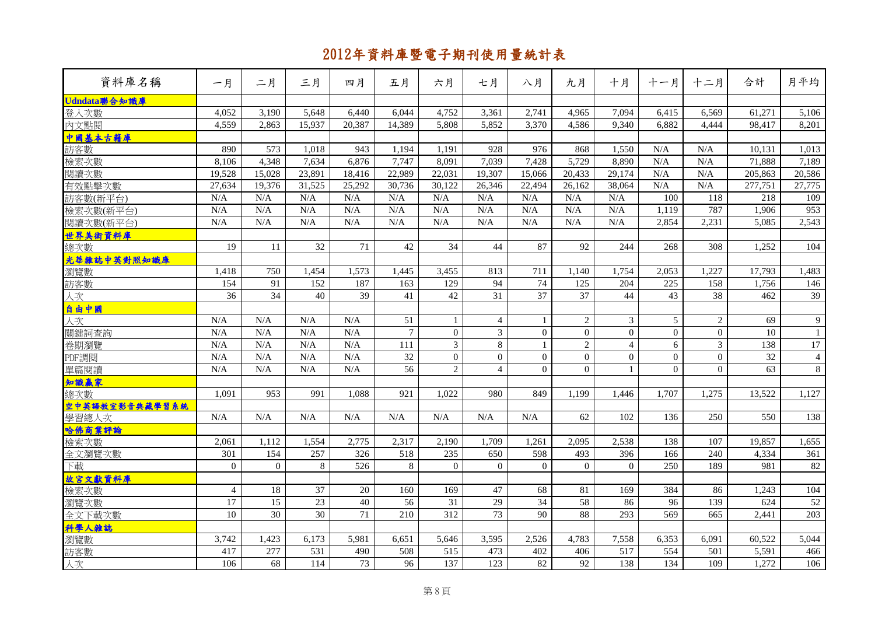| 資料庫名稱          | 一月             | 二月              | 三月              | 四月              | 五月              | 六月               | 七月              | 八月              | 九月              | 十月               | 十一月              | 十二月            | 合計              | 月平均             |
|----------------|----------------|-----------------|-----------------|-----------------|-----------------|------------------|-----------------|-----------------|-----------------|------------------|------------------|----------------|-----------------|-----------------|
| Udndata聯合知識庫   |                |                 |                 |                 |                 |                  |                 |                 |                 |                  |                  |                |                 |                 |
| 登入次數           | 4,052          | 3,190           | 5,648           | 6,440           | 6,044           | 4,752            | 3,361           | 2,741           | 4,965           | 7,094            | 6,415            | 6,569          | 61,271          | 5,106           |
| 内文點閱           | 4,559          | 2,863           | 15,937          | 20,387          | 14,389          | 5,808            | 5,852           | 3,370           | 4,586           | 9,340            | 6,882            | 4,444          | 98,417          | 8,201           |
| 中國基本古籍庫        |                |                 |                 |                 |                 |                  |                 |                 |                 |                  |                  |                |                 |                 |
| 訪客數            | 890            | 573             | 1,018           | 943             | 1,194           | 1.191            | 928             | 976             | 868             | 1,550            | N/A              | N/A            | 10,131          | 1,013           |
| 檢索次數           | 8,106          | 4,348           | 7,634           | 6,876           | 7,747           | 8,091            | 7,039           | 7,428           | 5,729           | 8,890            | N/A              | N/A            | 71,888          | 7,189           |
| 閱讀次數           | 19,528         | 15,028          | 23,891          | 18,416          | 22,989          | 22,031           | 19,307          | 15,066          | 20,433          | 29,174           | N/A              | N/A            | 205,863         | 20,586          |
| 有效點擊次數         | 27,634         | 19,376          | 31,525          | 25,292          | 30,736          | 30,122           | 26,346          | 22,494          | 26,162          | 38,064           | N/A              | N/A            | 277,751         | 27,775          |
| 訪客數(新平台)       | N/A            | N/A             | N/A             | N/A             | N/A             | N/A              | N/A             | N/A             | N/A             | N/A              | 100              | 118            | 218             | 109             |
| 檢索次數(新平台)      | N/A            | N/A             | N/A             | N/A             | N/A             | N/A              | N/A             | N/A             | N/A             | N/A              | 1,119            | 787            | 1,906           | 953             |
| 閱讀次數(新平台)      | N/A            | N/A             | N/A             | N/A             | N/A             | N/A              | N/A             | N/A             | N/A             | N/A              | 2,854            | 2,231          | 5,085           | 2,543           |
| 世界美術資料庫        |                |                 |                 |                 |                 |                  |                 |                 |                 |                  |                  |                |                 |                 |
| 總次數            | 19             | 11              | 32              | 71              | 42              | 34               | 44              | 87              | 92              | 244              | 268              | 308            | 1,252           | 104             |
| 光華雜誌中英對照知識庫    |                |                 |                 |                 |                 |                  |                 |                 |                 |                  |                  |                |                 |                 |
| 瀏覽數            | 1,418          | 750             | 1,454           | 1,573           | 1,445           | 3,455            | 813             | 711             | 1.140           | 1,754            | 2,053            | 1,227          | 17,793          | 1,483           |
| 訪客數            | 154            | 91              | 152             | 187             | 163             | 129              | 94              | 74              | 125             | 204              | 225              | 158            | 1,756           | 146             |
| 人次             | 36             | $\overline{34}$ | 40              | 39              | 41              | 42               | $\overline{31}$ | 37              | $\overline{37}$ | 44               | $\overline{43}$  | 38             | 462             | $\overline{39}$ |
| 自由中國           |                |                 |                 |                 |                 |                  |                 |                 |                 |                  |                  |                |                 |                 |
| 人次             | N/A            | N/A             | N/A             | N/A             | 51              | 1                | $\overline{4}$  | 1               | $\overline{2}$  | $\mathfrak{Z}$   | 5                | 2              | 69              | $\overline{9}$  |
| 關鍵詞查詢          | N/A            | N/A             | N/A             | N/A             | $\overline{7}$  | $\mathbf{0}$     | 3               | $\Omega$        | $\Omega$        | $\overline{0}$   | $\boldsymbol{0}$ | $\overline{0}$ | $\overline{10}$ | $\mathbf{1}$    |
| 卷期瀏覽           | N/A            | N/A             | N/A             | N/A             | 111             | $\overline{3}$   | 8               | $\mathbf{1}$    | $\overline{2}$  | $\overline{4}$   | 6                | $\overline{3}$ | 138             | 17              |
| PDF調閱          | N/A            | N/A             | N/A             | N/A             | $\overline{32}$ | $\boldsymbol{0}$ | $\Omega$        | $\Omega$        | $\Omega$        | $\boldsymbol{0}$ | $\overline{0}$   | $\overline{0}$ | $\overline{32}$ | $\overline{4}$  |
| 單篇閱讀           | N/A            | N/A             | N/A             | N/A             | $\overline{56}$ | $\overline{2}$   | $\overline{4}$  | $\Omega$        | $\Omega$        | $\mathbf{1}$     | $\Omega$         | $\Omega$       | 63              | 8               |
| 知識赢家           |                |                 |                 |                 |                 |                  |                 |                 |                 |                  |                  |                |                 |                 |
| 總次數            | 1,091          | 953             | 991             | 1,088           | 921             | 1,022            | 980             | 849             | 1,199           | 1,446            | 1,707            | 1,275          | 13,522          | 1,127           |
| 空中英語教室影音典藏學習系統 |                |                 |                 |                 |                 |                  |                 |                 |                 |                  |                  |                |                 |                 |
| 學習總人次          | N/A            | N/A             | N/A             | N/A             | N/A             | N/A              | N/A             | N/A             | 62              | 102              | 136              | 250            | 550             | 138             |
| 哈佛商業評論         |                |                 |                 |                 |                 |                  |                 |                 |                 |                  |                  |                |                 |                 |
| 檢索次數           | 2,061          | 1.112           | 1,554           | 2,775           | 2,317           | 2,190            | 1,709           | 1,261           | 2,095           | 2,538            | 138              | 107            | 19,857          | 1,655           |
| 全文瀏覽次數         | 301            | 154             | 257             | 326<br>526      | 518             | 235              | 650<br>$\Omega$ | 598<br>$\Omega$ | 493<br>$\Omega$ | 396<br>$\Omega$  | 166<br>250       | 240            | 4,334           | 361<br>82       |
| 下載             | $\overline{0}$ | $\overline{0}$  | 8               |                 | 8               | $\mathbf{0}$     |                 |                 |                 |                  |                  | 189            | 981             |                 |
| 故宮文獻資料庫        | $\overline{4}$ | 18              | 37              | 20              | 160             | 169              | 47              | 68              | 81              | 169              | 384              | 86             | 1,243           | 104             |
| 檢索次數           | 17             | 15              | $\overline{23}$ | 40              | 56              | 31               | 29              | 34              | 58              | 86               | 96               | 139            | 624             | 52              |
| 瀏覽次數           | 10             | 30              | $\overline{30}$ | $\overline{71}$ | 210             | $\overline{312}$ | 73              | $\overline{90}$ | 88              | 293              | 569              | 665            | 2.441           | 203             |
| 全文下載次數         |                |                 |                 |                 |                 |                  |                 |                 |                 |                  |                  |                |                 |                 |
| 科學人雜誌<br>瀏覽數   | 3,742          | 1,423           | 6,173           | 5,981           | 6,651           | 5,646            | 3,595           | 2,526           | 4,783           | 7,558            | 6,353            | 6,091          | 60,522          | 5,044           |
|                | 417            | 277             | 531             | 490             | 508             | 515              | 473             | 402             | 406             | 517              | 554              | 501            | 5,591           |                 |
| 訪客數            |                |                 |                 |                 |                 |                  |                 |                 |                 |                  |                  |                |                 | 466             |
| 人次             | 106            | 68              | 114             | 73              | 96              | 137              | 123             | 82              | 92              | 138              | 134              | 109            | 1,272           | 106             |